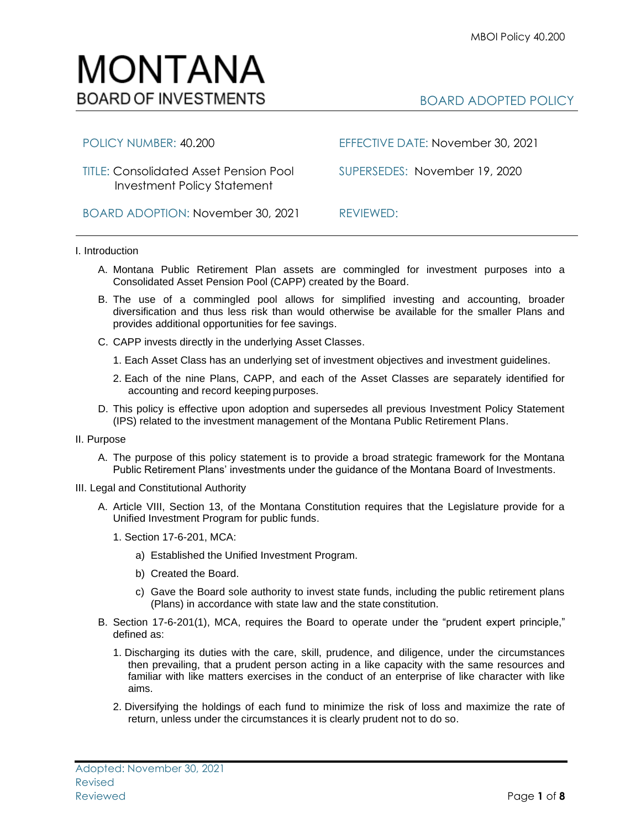BOARD ADOPTED POLICY

# Investment Policy Statement

MONTANA

**BOARD OF INVESTMENTS** 

BOARD ADOPTION: November 30, 2021 REVIEWED:

POLICY NUMBER: 40.200 EFFECTIVE DATE: November 30, 2021

TITLE: Consolidated Asset Pension Pool SUPERSEDES:November 19, 2020

# I. Introduction

- A. Montana Public Retirement Plan assets are commingled for investment purposes into a Consolidated Asset Pension Pool (CAPP) created by the Board.
- B. The use of a commingled pool allows for simplified investing and accounting, broader diversification and thus less risk than would otherwise be available for the smaller Plans and provides additional opportunities for fee savings.
- C. CAPP invests directly in the underlying Asset Classes.
	- 1. Each Asset Class has an underlying set of investment objectives and investment guidelines.
	- 2. Each of the nine Plans, CAPP, and each of the Asset Classes are separately identified for accounting and record keeping purposes.
- D. This policy is effective upon adoption and supersedes all previous Investment Policy Statement (IPS) related to the investment management of the Montana Public Retirement Plans.

## II. Purpose

- A. The purpose of this policy statement is to provide a broad strategic framework for the Montana Public Retirement Plans' investments under the guidance of the Montana Board of Investments.
- III. Legal and Constitutional Authority
	- A. Article VIII, Section 13, of the Montana Constitution requires that the Legislature provide for a Unified Investment Program for public funds.
		- 1. Section 17-6-201, MCA:
			- a) Established the Unified Investment Program.
			- b) Created the Board.
			- c) Gave the Board sole authority to invest state funds, including the public retirement plans (Plans) in accordance with state law and the state constitution.
	- B. Section 17-6-201(1), MCA, requires the Board to operate under the "prudent expert principle," defined as:
		- 1. Discharging its duties with the care, skill, prudence, and diligence, under the circumstances then prevailing, that a prudent person acting in a like capacity with the same resources and familiar with like matters exercises in the conduct of an enterprise of like character with like aims.
		- 2. Diversifying the holdings of each fund to minimize the risk of loss and maximize the rate of return, unless under the circumstances it is clearly prudent not to do so.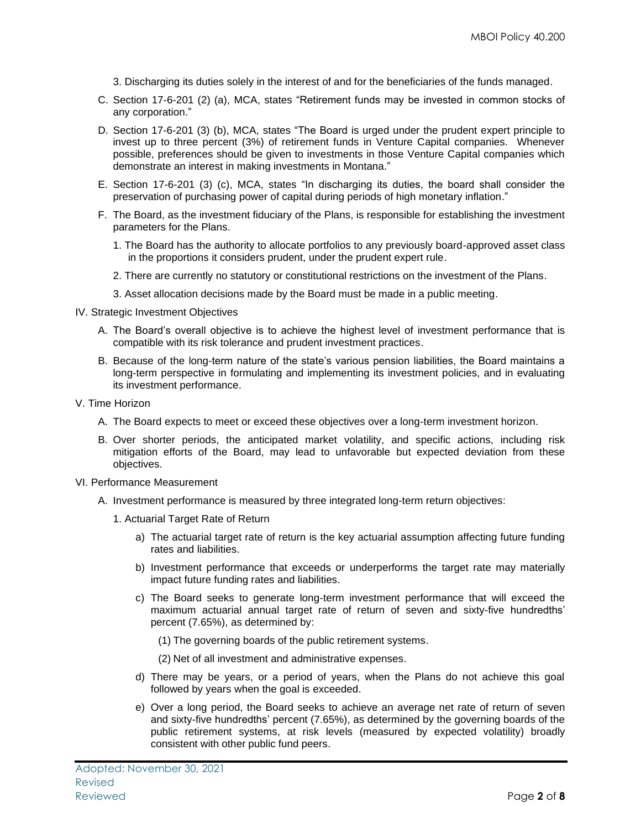3. Discharging its duties solely in the interest of and for the beneficiaries of the funds managed.

- C. Section 17-6-201 (2) (a), MCA, states "Retirement funds may be invested in common stocks of any corporation."
- D. Section 17-6-201 (3) (b), MCA, states "The Board is urged under the prudent expert principle to invest up to three percent (3%) of retirement funds in Venture Capital companies. Whenever possible, preferences should be given to investments in those Venture Capital companies which demonstrate an interest in making investments in Montana."
- E. Section 17-6-201 (3) (c), MCA, states "In discharging its duties, the board shall consider the preservation of purchasing power of capital during periods of high monetary inflation."
- F. The Board, as the investment fiduciary of the Plans, is responsible for establishing the investment parameters for the Plans.
	- 1. The Board has the authority to allocate portfolios to any previously board-approved asset class in the proportions it considers prudent, under the prudent expert rule.
	- 2. There are currently no statutory or constitutional restrictions on the investment of the Plans.
	- 3. Asset allocation decisions made by the Board must be made in a public meeting.
- IV. Strategic Investment Objectives
	- A. The Board's overall objective is to achieve the highest level of investment performance that is compatible with its risk tolerance and prudent investment practices.
	- B. Because of the long-term nature of the state's various pension liabilities, the Board maintains a long-term perspective in formulating and implementing its investment policies, and in evaluating its investment performance.
- V. Time Horizon
	- A. The Board expects to meet or exceed these objectives over a long-term investment horizon.
	- B. Over shorter periods, the anticipated market volatility, and specific actions, including risk mitigation efforts of the Board, may lead to unfavorable but expected deviation from these objectives.
- VI. Performance Measurement
	- A. Investment performance is measured by three integrated long-term return objectives:
		- 1. Actuarial Target Rate of Return
			- a) The actuarial target rate of return is the key actuarial assumption affecting future funding rates and liabilities.
			- b) Investment performance that exceeds or underperforms the target rate may materially impact future funding rates and liabilities.
			- c) The Board seeks to generate long-term investment performance that will exceed the maximum actuarial annual target rate of return of seven and sixty-five hundredths' percent (7.65%), as determined by:
				- (1) The governing boards of the public retirement systems.
				- (2) Net of all investment and administrative expenses.
			- d) There may be years, or a period of years, when the Plans do not achieve this goal followed by years when the goal is exceeded.
			- e) Over a long period, the Board seeks to achieve an average net rate of return of seven and sixty-five hundredths' percent (7.65%), as determined by the governing boards of the public retirement systems, at risk levels (measured by expected volatility) broadly consistent with other public fund peers.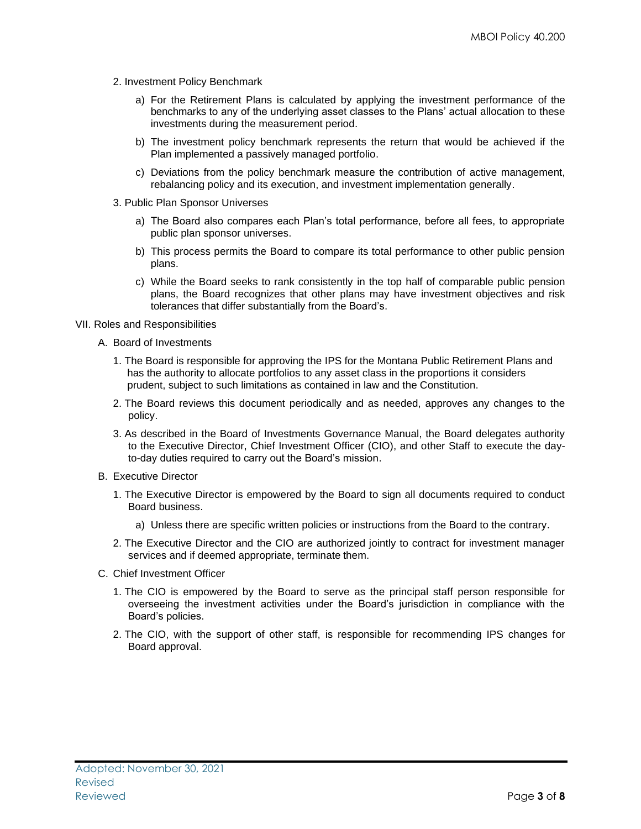- 2. Investment Policy Benchmark
	- a) For the Retirement Plans is calculated by applying the investment performance of the benchmarks to any of the underlying asset classes to the Plans' actual allocation to these investments during the measurement period.
	- b) The investment policy benchmark represents the return that would be achieved if the Plan implemented a passively managed portfolio.
	- c) Deviations from the policy benchmark measure the contribution of active management, rebalancing policy and its execution, and investment implementation generally.
- 3. Public Plan Sponsor Universes
	- a) The Board also compares each Plan's total performance, before all fees, to appropriate public plan sponsor universes.
	- b) This process permits the Board to compare its total performance to other public pension plans.
	- c) While the Board seeks to rank consistently in the top half of comparable public pension plans, the Board recognizes that other plans may have investment objectives and risk tolerances that differ substantially from the Board's.
- VII. Roles and Responsibilities
	- A. Board of Investments
		- 1. The Board is responsible for approving the IPS for the Montana Public Retirement Plans and has the authority to allocate portfolios to any asset class in the proportions it considers prudent, subject to such limitations as contained in law and the Constitution.
		- 2. The Board reviews this document periodically and as needed, approves any changes to the policy.
		- 3. As described in the Board of Investments Governance Manual, the Board delegates authority to the Executive Director, Chief Investment Officer (CIO), and other Staff to execute the dayto-day duties required to carry out the Board's mission.
	- B. Executive Director
		- 1. The Executive Director is empowered by the Board to sign all documents required to conduct Board business.
			- a) Unless there are specific written policies or instructions from the Board to the contrary.
		- 2. The Executive Director and the CIO are authorized jointly to contract for investment manager services and if deemed appropriate, terminate them.
	- C. Chief Investment Officer
		- 1. The CIO is empowered by the Board to serve as the principal staff person responsible for overseeing the investment activities under the Board's jurisdiction in compliance with the Board's policies.
		- 2. The CIO, with the support of other staff, is responsible for recommending IPS changes for Board approval.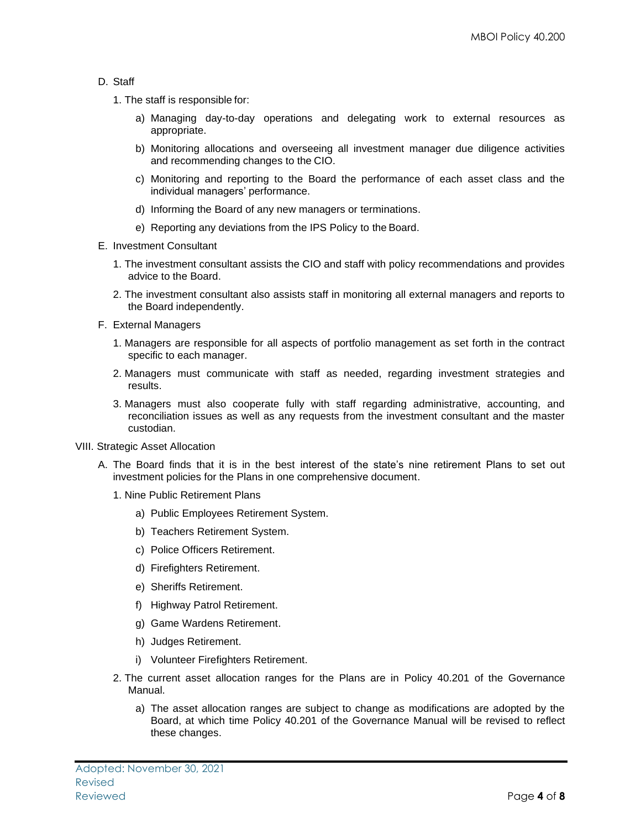# D. Staff

- 1. The staff is responsible for:
	- a) Managing day-to-day operations and delegating work to external resources as appropriate.
	- b) Monitoring allocations and overseeing all investment manager due diligence activities and recommending changes to the CIO.
	- c) Monitoring and reporting to the Board the performance of each asset class and the individual managers' performance.
	- d) Informing the Board of any new managers or terminations.
	- e) Reporting any deviations from the IPS Policy to the Board.
- E. Investment Consultant
	- 1. The investment consultant assists the CIO and staff with policy recommendations and provides advice to the Board.
	- 2. The investment consultant also assists staff in monitoring all external managers and reports to the Board independently.
- F. External Managers
	- 1. Managers are responsible for all aspects of portfolio management as set forth in the contract specific to each manager.
	- 2. Managers must communicate with staff as needed, regarding investment strategies and results.
	- 3. Managers must also cooperate fully with staff regarding administrative, accounting, and reconciliation issues as well as any requests from the investment consultant and the master custodian.
- VIII. Strategic Asset Allocation
	- A. The Board finds that it is in the best interest of the state's nine retirement Plans to set out investment policies for the Plans in one comprehensive document.
		- 1. Nine Public Retirement Plans
			- a) Public Employees Retirement System.
			- b) Teachers Retirement System.
			- c) Police Officers Retirement.
			- d) Firefighters Retirement.
			- e) Sheriffs Retirement.
			- f) Highway Patrol Retirement.
			- g) Game Wardens Retirement.
			- h) Judges Retirement.
			- i) Volunteer Firefighters Retirement.
		- 2. The current asset allocation ranges for the Plans are in Policy 40.201 of the Governance Manual.
			- a) The asset allocation ranges are subject to change as modifications are adopted by the Board, at which time Policy 40.201 of the Governance Manual will be revised to reflect these changes.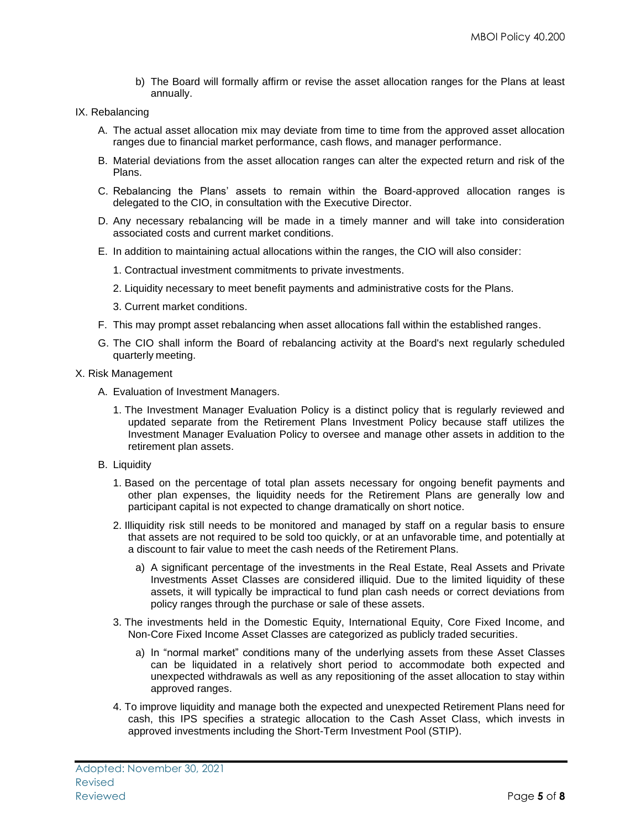- b) The Board will formally affirm or revise the asset allocation ranges for the Plans at least annually.
- IX. Rebalancing
	- A. The actual asset allocation mix may deviate from time to time from the approved asset allocation ranges due to financial market performance, cash flows, and manager performance.
	- B. Material deviations from the asset allocation ranges can alter the expected return and risk of the Plans.
	- C. Rebalancing the Plans' assets to remain within the Board-approved allocation ranges is delegated to the CIO, in consultation with the Executive Director.
	- D. Any necessary rebalancing will be made in a timely manner and will take into consideration associated costs and current market conditions.
	- E. In addition to maintaining actual allocations within the ranges, the CIO will also consider:
		- 1. Contractual investment commitments to private investments.
		- 2. Liquidity necessary to meet benefit payments and administrative costs for the Plans.
		- 3. Current market conditions.
	- F. This may prompt asset rebalancing when asset allocations fall within the established ranges.
	- G. The CIO shall inform the Board of rebalancing activity at the Board's next regularly scheduled quarterly meeting.
- X. Risk Management
	- A. Evaluation of Investment Managers.
		- 1. The Investment Manager Evaluation Policy is a distinct policy that is regularly reviewed and updated separate from the Retirement Plans Investment Policy because staff utilizes the Investment Manager Evaluation Policy to oversee and manage other assets in addition to the retirement plan assets.
	- B. Liquidity
		- 1. Based on the percentage of total plan assets necessary for ongoing benefit payments and other plan expenses, the liquidity needs for the Retirement Plans are generally low and participant capital is not expected to change dramatically on short notice.
		- 2. Illiquidity risk still needs to be monitored and managed by staff on a regular basis to ensure that assets are not required to be sold too quickly, or at an unfavorable time, and potentially at a discount to fair value to meet the cash needs of the Retirement Plans.
			- a) A significant percentage of the investments in the Real Estate, Real Assets and Private Investments Asset Classes are considered illiquid. Due to the limited liquidity of these assets, it will typically be impractical to fund plan cash needs or correct deviations from policy ranges through the purchase or sale of these assets.
		- 3. The investments held in the Domestic Equity, International Equity, Core Fixed Income, and Non-Core Fixed Income Asset Classes are categorized as publicly traded securities.
			- a) In "normal market" conditions many of the underlying assets from these Asset Classes can be liquidated in a relatively short period to accommodate both expected and unexpected withdrawals as well as any repositioning of the asset allocation to stay within approved ranges.
		- 4. To improve liquidity and manage both the expected and unexpected Retirement Plans need for cash, this IPS specifies a strategic allocation to the Cash Asset Class, which invests in approved investments including the Short-Term Investment Pool (STIP).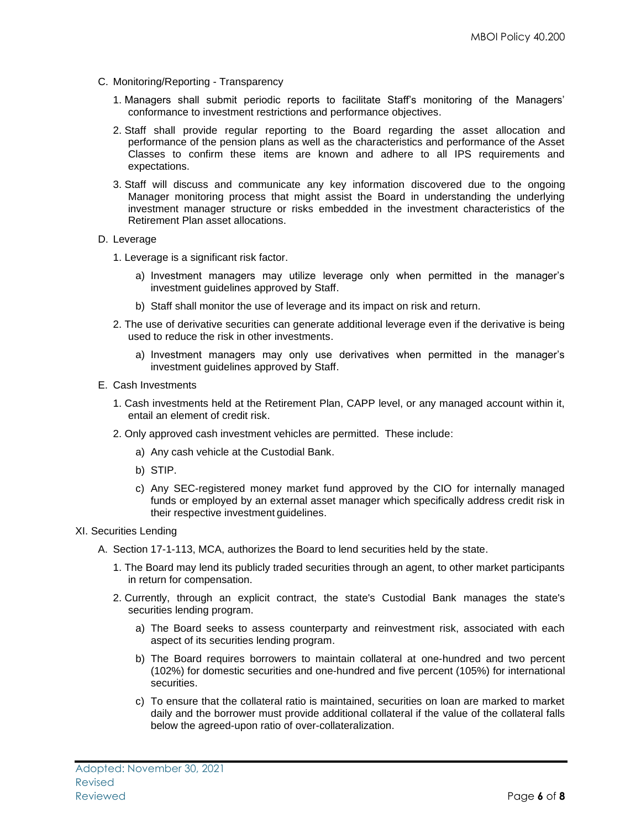- C. Monitoring/Reporting Transparency
	- 1. Managers shall submit periodic reports to facilitate Staff's monitoring of the Managers' conformance to investment restrictions and performance objectives.
	- 2. Staff shall provide regular reporting to the Board regarding the asset allocation and performance of the pension plans as well as the characteristics and performance of the Asset Classes to confirm these items are known and adhere to all IPS requirements and expectations.
	- 3. Staff will discuss and communicate any key information discovered due to the ongoing Manager monitoring process that might assist the Board in understanding the underlying investment manager structure or risks embedded in the investment characteristics of the Retirement Plan asset allocations.

## D. Leverage

- 1. Leverage is a significant risk factor.
	- a) Investment managers may utilize leverage only when permitted in the manager's investment guidelines approved by Staff.
	- b) Staff shall monitor the use of leverage and its impact on risk and return.
- 2. The use of derivative securities can generate additional leverage even if the derivative is being used to reduce the risk in other investments.
	- a) Investment managers may only use derivatives when permitted in the manager's investment guidelines approved by Staff.
- E. Cash Investments
	- 1. Cash investments held at the Retirement Plan, CAPP level, or any managed account within it, entail an element of credit risk.
	- 2. Only approved cash investment vehicles are permitted. These include:
		- a) Any cash vehicle at the Custodial Bank.
		- b) STIP.
		- c) Any SEC-registered money market fund approved by the CIO for internally managed funds or employed by an external asset manager which specifically address credit risk in their respective investment guidelines.

## XI. Securities Lending

- A. Section 17-1-113, MCA, authorizes the Board to lend securities held by the state.
	- 1. The Board may lend its publicly traded securities through an agent, to other market participants in return for compensation.
	- 2. Currently, through an explicit contract, the state's Custodial Bank manages the state's securities lending program.
		- a) The Board seeks to assess counterparty and reinvestment risk, associated with each aspect of its securities lending program.
		- b) The Board requires borrowers to maintain collateral at one-hundred and two percent (102%) for domestic securities and one-hundred and five percent (105%) for international securities.
		- c) To ensure that the collateral ratio is maintained, securities on loan are marked to market daily and the borrower must provide additional collateral if the value of the collateral falls below the agreed-upon ratio of over-collateralization.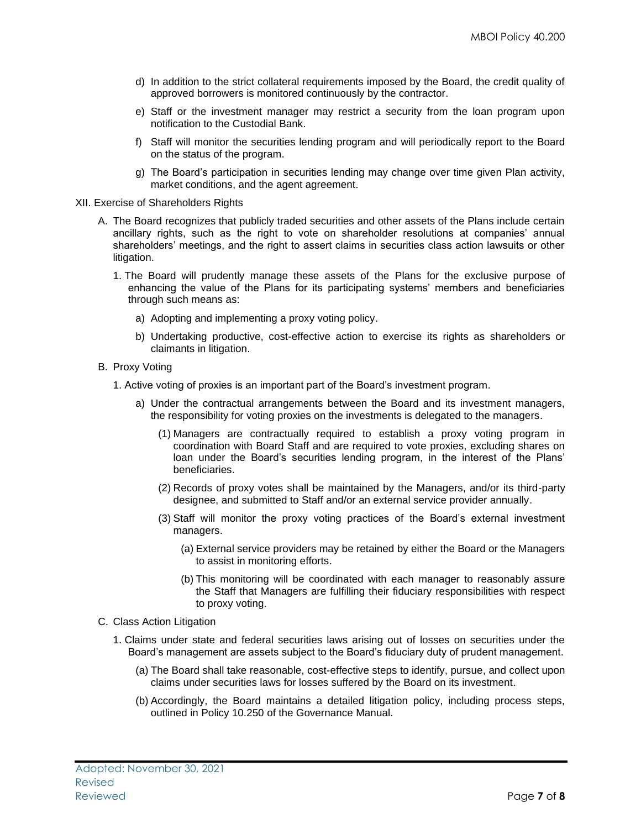- d) In addition to the strict collateral requirements imposed by the Board, the credit quality of approved borrowers is monitored continuously by the contractor.
- e) Staff or the investment manager may restrict a security from the loan program upon notification to the Custodial Bank.
- f) Staff will monitor the securities lending program and will periodically report to the Board on the status of the program.
- g) The Board's participation in securities lending may change over time given Plan activity, market conditions, and the agent agreement.
- XII. Exercise of Shareholders Rights
	- A. The Board recognizes that publicly traded securities and other assets of the Plans include certain ancillary rights, such as the right to vote on shareholder resolutions at companies' annual shareholders' meetings, and the right to assert claims in securities class action lawsuits or other litigation.
		- 1. The Board will prudently manage these assets of the Plans for the exclusive purpose of enhancing the value of the Plans for its participating systems' members and beneficiaries through such means as:
			- a) Adopting and implementing a proxy voting policy.
			- b) Undertaking productive, cost-effective action to exercise its rights as shareholders or claimants in litigation.
	- B. Proxy Voting
		- 1. Active voting of proxies is an important part of the Board's investment program.
			- a) Under the contractual arrangements between the Board and its investment managers, the responsibility for voting proxies on the investments is delegated to the managers.
				- (1) Managers are contractually required to establish a proxy voting program in coordination with Board Staff and are required to vote proxies, excluding shares on loan under the Board's securities lending program, in the interest of the Plans' beneficiaries.
				- (2) Records of proxy votes shall be maintained by the Managers, and/or its third-party designee, and submitted to Staff and/or an external service provider annually.
				- (3) Staff will monitor the proxy voting practices of the Board's external investment managers.
					- (a) External service providers may be retained by either the Board or the Managers to assist in monitoring efforts.
					- (b) This monitoring will be coordinated with each manager to reasonably assure the Staff that Managers are fulfilling their fiduciary responsibilities with respect to proxy voting.
	- C. Class Action Litigation
		- 1. Claims under state and federal securities laws arising out of losses on securities under the Board's management are assets subject to the Board's fiduciary duty of prudent management.
			- (a) The Board shall take reasonable, cost-effective steps to identify, pursue, and collect upon claims under securities laws for losses suffered by the Board on its investment.
			- (b) Accordingly, the Board maintains a detailed litigation policy, including process steps, outlined in Policy 10.250 of the Governance Manual.